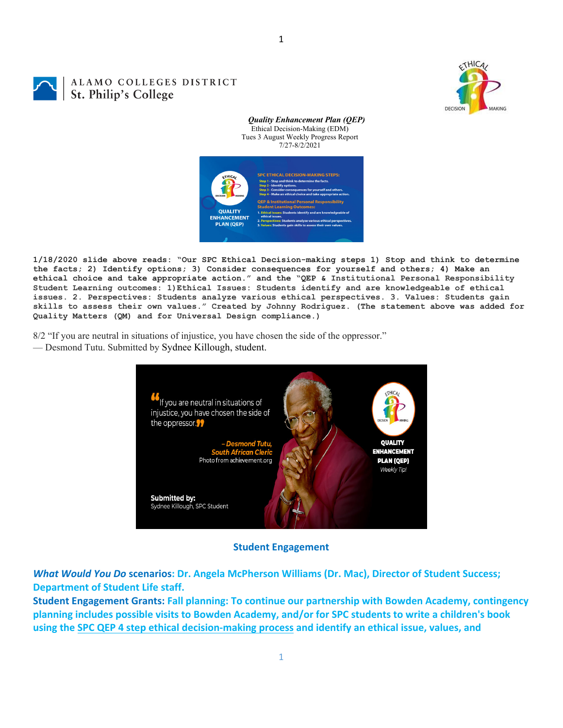

## ALAMO COLLEGES DISTRICT St. Philip's College

*Quality Enhancement Plan (QEP)* Ethical Decision-Making (EDM) Tues 3 August Weekly Progress Report 7/27-8/2/2021



**1/18/2020 slide above reads: "Our SPC Ethical Decision-making steps 1) Stop and think to determine the facts; 2) Identify options; 3) Consider consequences for yourself and others; 4) Make an ethical choice and take appropriate action." and the "QEP & Institutional Personal Responsibility Student Learning outcomes: 1)Ethical Issues: Students identify and are knowledgeable of ethical issues. 2. Perspectives: Students analyze various ethical perspectives. 3. Values: Students gain skills to assess their own values." Created by Johnny Rodriguez. (The statement above was added for Quality Matters (QM) and for Universal Design compliance.)**

8/2 "If you are neutral in situations of injustice, you have chosen the side of the oppressor."

— Desmond Tutu. Submitted by Sydnee Killough, student.



**Student Engagement**

*What Would You Do* **scenarios: Dr. Angela McPherson Williams (Dr. Mac), Director of Student Success; Department of Student Life staff.**

**Student Engagement Grants: Fall planning: To continue our partnership with Bowden Academy, contingency planning includes possible visits to Bowden Academy, and/or for SPC students to write a children's book** using the SPC QEP 4 step ethical decision-making process and identify an ethical issue, values, and

1